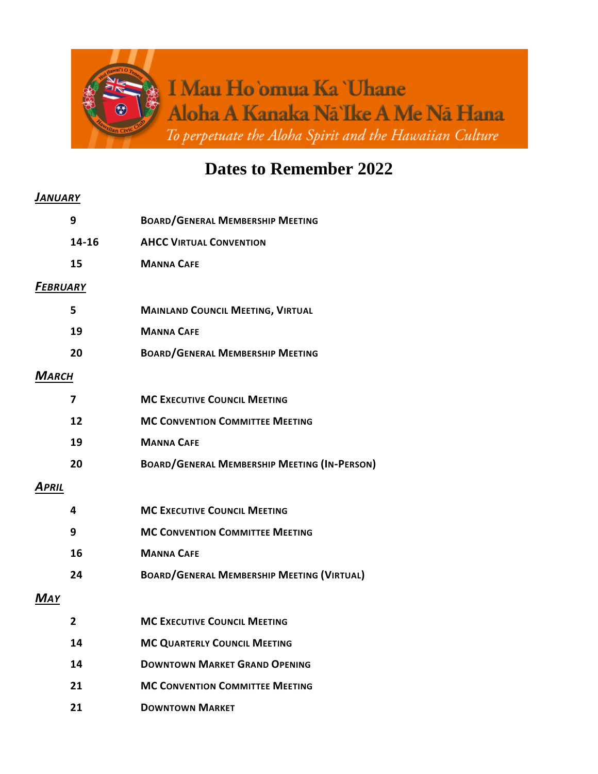

## **Dates to Remember 2022**

## *JANUARY*

|              | 9               | <b>BOARD/GENERAL MEMBERSHIP MEETING</b>             |
|--------------|-----------------|-----------------------------------------------------|
|              | 14-16           | <b>AHCC VIRTUAL CONVENTION</b>                      |
|              | 15              | <b>MANNA CAFE</b>                                   |
|              | <b>FEBRUARY</b> |                                                     |
|              | 5               | <b>MAINLAND COUNCIL MEETING, VIRTUAL</b>            |
|              | 19              | <b>MANNA CAFE</b>                                   |
|              | 20              | <b>BOARD/GENERAL MEMBERSHIP MEETING</b>             |
| <b>MARCH</b> |                 |                                                     |
|              | 7               | <b>MC EXECUTIVE COUNCIL MEETING</b>                 |
|              | 12              | <b>MC CONVENTION COMMITTEE MEETING</b>              |
|              | 19              | <b>MANNA CAFE</b>                                   |
|              | 20              | <b>BOARD/GENERAL MEMBERSHIP MEETING (IN-PERSON)</b> |
| April        |                 |                                                     |
|              | 4               | <b>MC EXECUTIVE COUNCIL MEETING</b>                 |
|              | 9               | <b>MC CONVENTION COMMITTEE MEETING</b>              |
|              | 16              | <b>MANNA CAFE</b>                                   |
|              | 24              | <b>BOARD/GENERAL MEMBERSHIP MEETING (VIRTUAL)</b>   |
| MAY          |                 |                                                     |
|              | 2               | <b>MC EXECUTIVE COUNCIL MEETING</b>                 |
|              | 14              | <b>MC QUARTERLY COUNCIL MEETING</b>                 |
|              | 14              | <b>DOWNTOWN MARKET GRAND OPENING</b>                |
|              | 21              | <b>MC CONVENTION COMMITTEE MEETING</b>              |
|              | 21              | <b>DOWNTOWN MARKET</b>                              |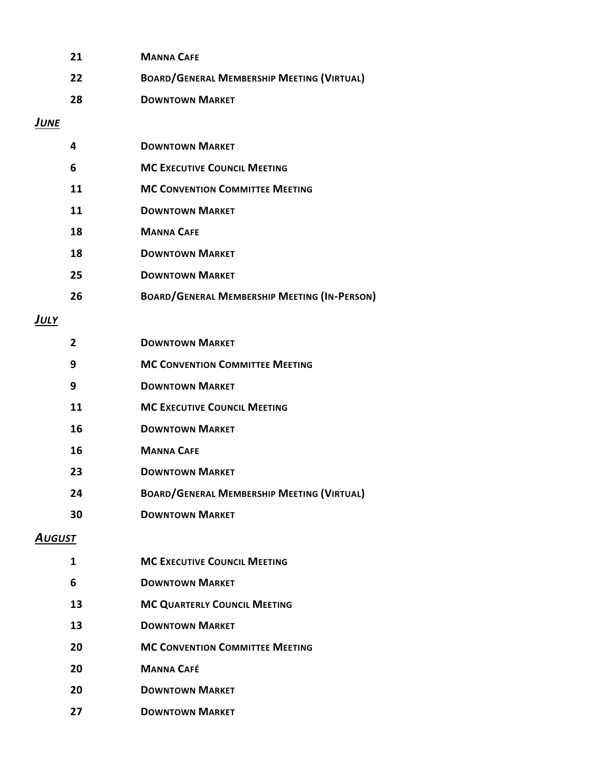| 21             | <b>MANNA CAFE</b>                                   |  |  |  |  |
|----------------|-----------------------------------------------------|--|--|--|--|
| 22             | <b>BOARD/GENERAL MEMBERSHIP MEETING (VIRTUAL)</b>   |  |  |  |  |
| 28             | <b>DOWNTOWN MARKET</b>                              |  |  |  |  |
| JUNE           |                                                     |  |  |  |  |
| 4              | <b>DOWNTOWN MARKET</b>                              |  |  |  |  |
| 6              | <b>MC EXECUTIVE COUNCIL MEETING</b>                 |  |  |  |  |
| 11             | <b>MC CONVENTION COMMITTEE MEETING</b>              |  |  |  |  |
| 11             | <b>DOWNTOWN MARKET</b>                              |  |  |  |  |
| 18             | <b>MANNA CAFE</b>                                   |  |  |  |  |
| 18             | <b>DOWNTOWN MARKET</b>                              |  |  |  |  |
| 25             | <b>DOWNTOWN MARKET</b>                              |  |  |  |  |
| 26             | <b>BOARD/GENERAL MEMBERSHIP MEETING (IN-PERSON)</b> |  |  |  |  |
| <u>JULY</u>    |                                                     |  |  |  |  |
| $\overline{2}$ | <b>DOWNTOWN MARKET</b>                              |  |  |  |  |
| 9              | <b>MC CONVENTION COMMITTEE MEETING</b>              |  |  |  |  |
| 9              | <b>DOWNTOWN MARKET</b>                              |  |  |  |  |
| 11             | <b>MC EXECUTIVE COUNCIL MEETING</b>                 |  |  |  |  |
| 16             | <b>DOWNTOWN MARKET</b>                              |  |  |  |  |
| 16             | <b>MANNA CAFE</b>                                   |  |  |  |  |
| 23             | <b>DOWNTOWN MARKET</b>                              |  |  |  |  |
| 24             | <b>BOARD/GENERAL MEMBERSHIP MEETING (VIRTUAL)</b>   |  |  |  |  |
| 30             | <b>DOWNTOWN MARKET</b>                              |  |  |  |  |
| <b>AUGUST</b>  |                                                     |  |  |  |  |
| 1              | <b>MC EXECUTIVE COUNCIL MEETING</b>                 |  |  |  |  |
| 6              | <b>DOWNTOWN MARKET</b>                              |  |  |  |  |
| 13             | <b>MC QUARTERLY COUNCIL MEETING</b>                 |  |  |  |  |
| 13             | <b>DOWNTOWN MARKET</b>                              |  |  |  |  |
| 20             | <b>MC CONVENTION COMMITTEE MEETING</b>              |  |  |  |  |
| 20             | <b>MANNA CAFÉ</b>                                   |  |  |  |  |
| 20             | <b>DOWNTOWN MARKET</b>                              |  |  |  |  |
| 27             | <b>DOWNTOWN MARKET</b>                              |  |  |  |  |
|                |                                                     |  |  |  |  |